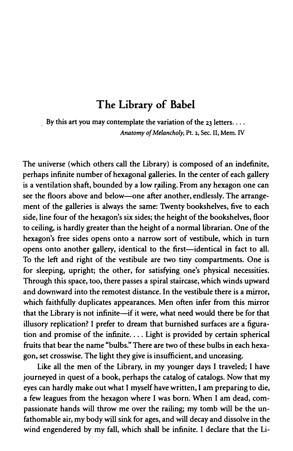## The Library of Babel

By this art you may contemplate the variation of the 23 letters... Anatomy of Melancholy, Pt. 2, Sec. II, Mem. IV

The universe (which others call the Library) is composed of an indefinite, perhaps infinite number of hexagonal galleries. In the center of each gallery is a ventilation shaft, bounded by a low railing. From any hexagon one can see the floors above and below-one after another, endlessly. The arrangement of the galleries is always the same: Twenty bookshelves, five to each side, line four of the hexagon's six sides; the height of the bookshelves, floor to ceiling, is hardly greater than the height of a normal librarian. One of the hexagon's free sides opens onto a narrow sort of vestibule, which in turn opens onto another gallery, identical to the first-identical in fact to all. To the left and right of the vestibule are two tiny compartments. One is for sleeping, upright; the other, for satisfying one's physical necessities. Through this space, too, there passes a spiral staircase, which winds upward and downward into the remotest distance. In the vestibule there is a mirror, which faithfully duplicates appearances. Men often infer from this mirror that the Library is not infinite-if it were, what need would there be for that illusory replication? I prefer to dream that burnished surfaces are a figuration and promise of the infinite.... Light is provided by certain spherical fruits that bear the name "bulbs." There are two of these bulbs in each hexagon, set crosswise. The light they give is insufficient, and unceasing.

Like all the men of the Library, in my younger days I traveled; I have journeyed in quest of a book, perhaps the catalog of catalogs. Now that my eyes can hardly make out what I myself have written, I am preparing to die, a few leagues from the hexagon where I was born. When I am dead, compassionate hands will throw me over the railing; my tomb will be the unfathomable air, my body will sink for ages, and will decay and dissolve in the wind engendered by my fall, which shall be infinite. I declare that the Li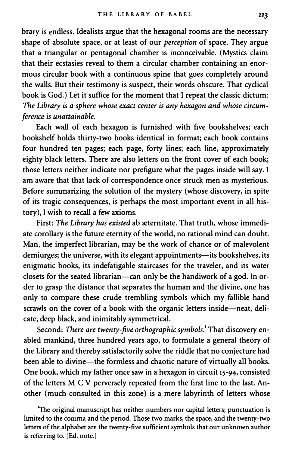brary is endless. Idealists argue that the hexagonal rooms are the necessary shape of absolute space, or at least of our perception of space. They argue that a triangular or pentagonal chamber is inconceivable. (Mystics claim that their ecstasies reveal to them a circular chamber containing an enormous circular book with a continuous spine that goes completely around the walls. But their testimony is suspect, their words obscure. That cyclical book is God.) Let it suffice for the moment that I repeat the classic dictum: The Library is a sphere whose exact center is any hexagon and whose circumference is unattainable.

Each wall of each hexagon is furnished with five bookshelves; each bookshelf holds thirty-two books identical in format; each book contains four hundred ten pages; each page, forty lines; each line, approximately eighty black letters. There are also letters on the front cover of each book; those letters neither indicate nor prefigure what the pages inside will say. I am aware that that lack of correspondence once struck men as mysterious. Before summarizing the solution of the mystery (whose discovery, in spite of its tragic consequences, is perhaps the most important event in all history), I wish to recall a few axioms.

First: The Library has existed ab æternitate. That truth, whose immediate corollary is the future eternity of the world, no rational mind can doubt. Man, the imperfect librarian, may be the work of chance or of malevolent demiurges; the universe, with its elegant appointments---its bookshelves, its enigmatic books, its indefatigable staircases for the traveler, and its water closets for the seated librarian—can only be the handiwork of a god. In order to grasp the distance that separates the human and the divine, one has only to compare these crude trembling symbols which my fallible hand scrawls on the cover of a book with the organic letters inside-neat, delicate, deep black, and inimitably symmetrical.

Second: There are twenty-five orthographic symbols.' That discovery enabled mankind, three hundred years ago, to formulate a general theory of the Library and thereby satisfactorily solve the riddle that no conjecture had been able to divine-the formless and chaotic nature of virtually all books. One book, which my father once saw in a hexagon in circuit 15-94, consisted of the letters M C V perversely repeated from the first line to the last. Another (much consulted in this zone) is a mere labyrinth of letters whose

'The original manuscript has neither numbers nor capital letters; punctuation is limited to the comma and the period. Those two marks, the space, and the twenty-two letters of the alphabet are the twenty-five sufficient symbols that our unknown author is referring to. [Ed. note.]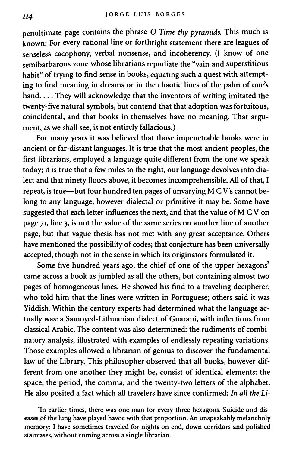penultimate page contains the phrase O Time thy pyramids. This much is known: For every rational line or forthright statement there are leagues of senseless cacophony, verbal nonsense, and incoherency. (I know of one semibarbarous zone whose librarians repudiate the "vain and superstitious habit" of trying to find sense in books, equating such a quest with attempting to find meaning in dreams or in the chaotic lines of the palm of one's hand.... They will acknowledge that the inventors of writing imitated the twenty-five natural symbols, but contend that that adoption was fortuitous, coincidental, and that books in themselves have no meaning. That argument, as we shall see, is not entirely fallacious.)

For many years it was believed that those impenetrable books were in ancient or far-distant languages. It is true that the most ancient peoples, the first librarians, employed a language quite different from the one we speak today; it is true that a few miles to the right, our language devolves into dialect and that ninety floors above, it becomes incomprehensible. All of that, I repeat, is true-but four hundred ten pages of unvarying M C V's cannot belong to any language, however dialectal or primitive it may be. Some have suggested that each letter influences the next, and that the value of M C V on page 71, line 3, is not the value of the same series on another line of another page, but that vague thesis has not met with any great acceptance. Others have mentioned the possibility of codes; that conjecture has been universally accepted, though not in the sense in which its originators formulated it.

Some five hundred years ago, the chief of one of the upper hexagons<sup>2</sup> came across a book as jumbled as all the others, but containing almost two pages of homogeneous lines. He showed his find to a traveling decipherer, who told him that the lines were written in Portuguese; others said it was Yiddish. Within the century experts had determined what the language actually was: a Samoyed-Lithuanian dialect of Guarani, with inflections from classical Arabic. The content was also determined: the rudiments of combinatory analysis, illustrated with examples of endlessly repeating variations. Those examples allowed a librarian of genius to discover the fundamental law of the Library. This philosopher observed that all books, however different from one another they might be, consist of identical elements: the space, the period, the comma, and the twenty-two letters of the alphabet. He also posited a fact which all travelers have since confirmed: In all the Li-

'In earlier times, there was one man for every three hexagons. Suicide and diseases of the lung have played havoc with that proportion. An unspeakably melancholy memory: I have sometimes traveled for nights on end, down corridors and polished staircases, without coming across a single librarian.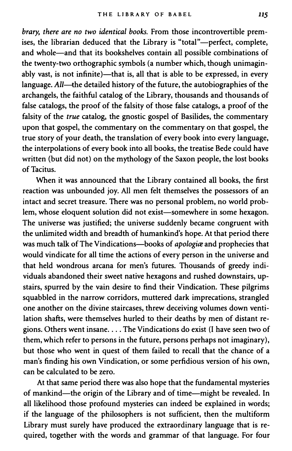brary, there are no two identical books. From those incontrovertible premises, the librarian deduced that the Library is "total"-perfect, complete, and whole-and that its bookshelves contain all possible combinations of the twenty-two orthographic symbols (a number which, though unimaginably vast, is not infinite)—that is, all that is able to be expressed, in every language. All—the detailed history of the future, the autobiographies of the archangels, the faithful catalog of the Library, thousands and thousands of false catalogs, the proof of the falsity of those false catalogs, a proof of the falsity of the true catalog, the gnostic gospel of Basilides, the commentary upon that gospel, the commentary on the commentary on that gospel, the true story of your death, the translation of every book into every language, the interpolations of every book into all books, the treatise Bede could have written (but did not) on the mythology of the Saxon people, the lost books of Tacitus.

When it was announced that the Library contained all books, the first reaction was unbounded joy. All men felt themselves the possessors of an intact and secret treasure. There was no personal problem, no world problem, whose eloquent solution did not exist-somewhere in some hexagon. The universe was justified; the universe suddenly became congruent with the unlimited width and breadth of humankind's hope. At that period there was much talk of The Vindications-books of apologiæ and prophecies that would vindicate for all time the actions of every person in the universe and that held wondrous arcana for men's futures. Thousands of greedy individuals abandoned their sweet native hexagons and rushed downstairs, upstairs, spurred by the vain desire to find their Vindication. These pilgrims squabbled in the narrow corridors, muttered dark imprecations, strangled one another on the divine staircases, threw deceiving volumes down ventilation shafts, were themselves hurled to their deaths by men of distant regions. Others went insane ... . The Vindications do exist (I have seen two of them, which refer to persons in the future, persons perhaps not imaginary), but those who went in quest of them failed to recall that the chance of a man's finding his own Vindication, or some perfidious version of his own, can be calculated to be zero.

At that same period there was also hope that the fundamental mysteries of mankind-the origin of the Library and of time-might be revealed. In all likelihood those profound mysteries can indeed be explained in words; if the language of the philosophers is not sufficient, then the multiform Library must surely have produced the extraordinary language that is required, together with the words and grammar of that language. For four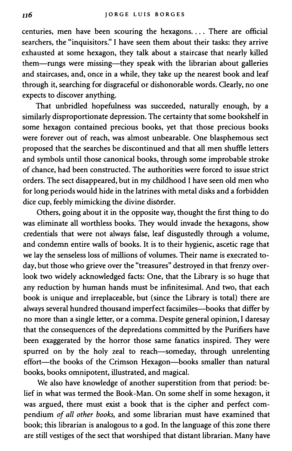centuries, men have been scouring the hexagons.... There are official searchers, the "inquisitors." I have seen them about their tasks: they arrive exhausted at some hexagon, they talk about a staircase that nearly killed them-rungs were missing-they speak with the librarian about galleries and staircases, and, once in a while, they take up the nearest book and leaf through it, searching for disgraceful or dishonorable words. Clearly, no one expects to discover anything.

That unbridled hopefulness was succeeded, naturally enough, by a similarly disproportionate depression. The certainty that some bookshelf in some hexagon contained precious books, yet that those precious books were forever out of reach, was almost unbearable. One blasphemous sect proposed that the searches be discontinued and that all men shuffle letters and symbols until those canonical books, through some improbable stroke of chance, had been constructed. The authorities were forced to issue strict orders. The sect disappeared, but in my childhood I have seen old men who for long periods would hide in the latrines with metal disks and a forbidden dice cup, feebly mimicking the divine disorder.

Others, going about it in the opposite way, thought the first thing to do was eliminate all worthless books. They would invade the hexagons, show credentials that were not always false, leaf disgustedly through a volume, and condemn entire walls of books. It is to their hygienic, ascetic rage that we lay the senseless loss of millions of volumes. Their name is execrated today, but those who grieve over the "treasures" destroyed in that frenzy overlook two widely acknowledged facts: One, that the Library is so huge that any reduction by human hands must be infinitesimal. And two, that each book is unique and irreplaceable, but (since the Library is total) there are always several hundred thousand imperfect facsimiles-books that differ by no more than a single letter, or a comma. Despite general opinion, I daresay that the consequences of the depredations committed by the Purifiers have been exaggerated by the horror those same fanatics inspired. They were spurred on by the holy zeal to reach-someday, through unrelenting effort-the books of the Crimson Hexagon-books smaller than natural books, books omnipotent, illustrated, and magical.

We also have knowledge of another superstition from that period: belief in what was termed the Book-Man. On some shelf in some hexagon, it was argued, there must exist a book that is the cipher and perfect compendium of all other books, and some librarian must have examined that book; this librarian is analogous to a god. In the language of this zone there are still vestiges of the sect that worshiped that distant librarian. Many have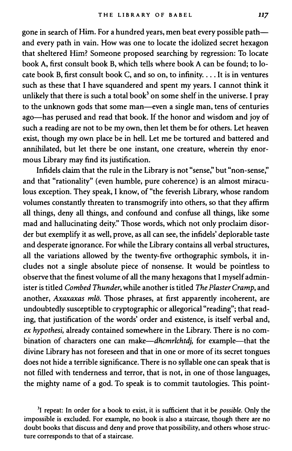gone in search of Him. For a hundred years, men beat every possible pathand every path in vain. How was one to locate the idolized secret hexagon that sheltered Him? Someone proposed searching by regression: To locate book A, first consult book B, which tells where book A can be found; to locate book B, first consult book C, and so on, to infinity .... It is in ventures such as these that I have squandered and spent my years. I cannot think it unlikely that there is such a total book<sup>3</sup> on some shelf in the universe. I pray to the unknown gods that some man-even a single man, tens of centuries ago-has perused and read that book. If the honor and wisdom and joy of such a reading are not to be my own, then let them be for others. Let heaven exist, though my own place be in hell. Let me be tortured and battered and annihilated, but let there be one instant, one creature, wherein thy enormous Library may find its justification.

Infidels claim that the rule in the Library is not "sense;' but "non-sense;' and that "rationality" (even humble, pure coherence) is an almost miraculous exception. They speak, I know, of "the feverish Library, whose random volumes constantly threaten to transmogrify into others, so that they affirm all things, deny all things, and confound and confuse all things, like some mad and hallucinating deity." Those words, which not only proclaim disorder but exemplify it as well, prove, as all can see, the infidels' deplorable taste and desperate ignorance. For while the Library contains all verbal structures, all the variations allowed by the twenty-five orthographic symbols, it includes not a single absolute piece of nonsense. It would be pointless to observe that the finest volume of all the many hexagons that I myself administer is titled Combed Thunder, while another is titled The Plaster Cramp, and another, Axaxaxas mlö. Those phrases, at first apparently incoherent, are undoubtedly susceptible to cryptographic or allegorical "reading"; that reading, that justification of the words' order and existence, is itself verbal and, ex hypothesi, already contained somewhere in the Library. There is no combination of characters one can make-*dhcmrlchtdj*, for example-that the divine Library has not foreseen and that in one or more of its secret tongues does not hide a terrible significance. There is no syllable one can speak that is not filled with tenderness and terror, that is not, in one of those languages, the mighty name of a god. To speak is to commit tautologies. This point-

<sup>3</sup>I repeat: In order for a book to exist, it is sufficient that it be possible. Only the impossible is excluded. For example, no book is also a staircase, though there are no doubt books that discuss and deny and prove that possibility, and others whose structure corresponds to that of a staircase.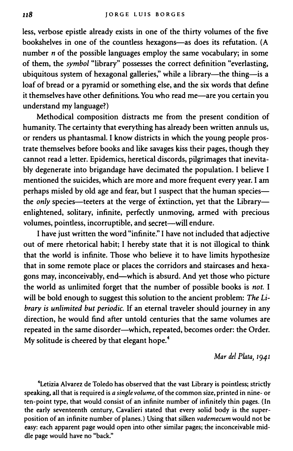less, verbose epistle already exists in one of the thirty volumes of the five bookshelves in one of the countless hexagons-as does its refutation. (A number *n* of the possible languages employ the same vocabulary; in some of them, the symbol "library" possesses the correct definition "everlasting, ubiquitous system of hexagonal galleries," while a library—the thing—is a loaf of bread or a pyramid or something else, and the six words that define it themselves have other definitions. You who read me-are you certain you understand my language?)

Methodical composition distracts me from the present condition of humanity. The certainty that everything has already been written annuls us, or renders us phantasmal. I know districts in which the young people prostrate themselves before books and like savages kiss their pages, though they cannot read a letter. Epidemics, heretical discords, pilgrimages that inevitably degenerate into brigandage have decimated the population. I believe I mentioned the suicides, which are more and more frequent every year. I am perhaps misled by old age and fear, but I suspect that the human speciesthe only species—teeters at the verge of extinction, yet that the Library enlightened, solitary, infinite, perfectly unmoving, armed with precious volumes, pointless, incorruptible, and secret-will endure.

I have just written the word "infinite." I have not included that adjective out of mere rhetorical habit; I hereby state that it is not illogical to think that the world is infinite. Those who believe it to have limits hypothesize that in some remote place or places the corridors and staircases and hexagons may, inconceivably, end—which is absurd. And yet those who picture the world as unlimited forget that the number of possible books is not. I will be bold enough to suggest this solution to the ancient problem: The Library is unlimited but periodic. If an eternal traveler should journey in any direction, he would find after untold centuries that the same volumes are repeated in the same disorder-which, repeated, becomes order: the Order. My solitude is cheered by that elegant hope.<sup>4</sup>

Mar del Plata, 1941

4Letizia Alvarez de Toledo has observed that the vast Library is pointless; strictly speaking, all that is required is a single volume, of the common size, printed in nine- or ten-point type, that would consist of an infinite number of infinitely thin pages. (In the early seventeenth century, Cavalieri stated that every solid body is the superposition of an infinite number of planes.) Using that silken vademecum would not be easy: each apparent page would open into other similar pages; the inconceivable middle page would have no "back."